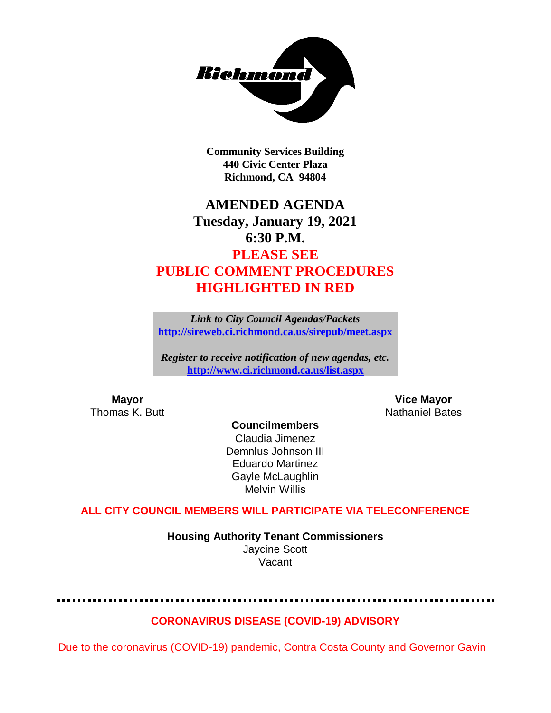

**Community Services Building 440 Civic Center Plaza Richmond, CA 94804**

# **AMENDED AGENDA Tuesday, January 19, 2021 6:30 P.M. PLEASE SEE PUBLIC COMMENT PROCEDURES HIGHLIGHTED IN RED**

*Link to City Council Agendas/Packets* **<http://sireweb.ci.richmond.ca.us/sirepub/meet.aspx>**

*Register to receive notification of new agendas, etc.* **<http://www.ci.richmond.ca.us/list.aspx>**

**Mayor Vice Mayor** Thomas K. Butt Nathaniel Bates Nathaniel Bates

**Councilmembers** Claudia Jimenez Demnlus Johnson III Eduardo Martinez Gayle McLaughlin Melvin Willis

#### **ALL CITY COUNCIL MEMBERS WILL PARTICIPATE VIA TELECONFERENCE**

**Housing Authority Tenant Commissioners** Jaycine Scott Vacant

#### **CORONAVIRUS DISEASE (COVID-19) ADVISORY**

Due to the coronavirus (COVID-19) pandemic, Contra Costa County and Governor Gavin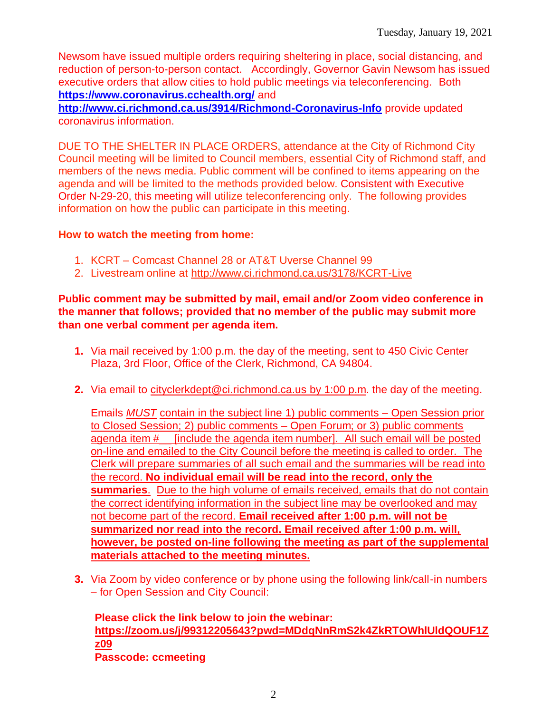Newsom have issued multiple orders requiring sheltering in place, social distancing, and reduction of person-to-person contact. Accordingly, Governor Gavin Newsom has issued executive orders that allow cities to hold public meetings via teleconferencing. Both **<https://www.coronavirus.cchealth.org/>** and

**<http://www.ci.richmond.ca.us/3914/Richmond-Coronavirus-Info>** provide updated coronavirus information.

DUE TO THE SHELTER IN PLACE ORDERS, attendance at the City of Richmond City Council meeting will be limited to Council members, essential City of Richmond staff, and members of the news media. Public comment will be confined to items appearing on the agenda and will be limited to the methods provided below. Consistent with Executive Order N-29-20, this meeting will utilize teleconferencing only. The following provides information on how the public can participate in this meeting.

#### **How to watch the meeting from home:**

- 1. KCRT Comcast Channel 28 or AT&T Uverse Channel 99
- 2. Livestream online at<http://www.ci.richmond.ca.us/3178/KCRT-Live>

#### **Public comment may be submitted by mail, email and/or Zoom video conference in the manner that follows; provided that no member of the public may submit more than one verbal comment per agenda item.**

- **1.** Via mail received by 1:00 p.m. the day of the meeting, sent to 450 Civic Center Plaza, 3rd Floor, Office of the Clerk, Richmond, CA 94804.
- **2.** Via email to [cityclerkdept@ci.richmond.ca.us](mailto:cityclerkdept@ci.richmond.ca.us) by 1:00 p.m. the day of the meeting.

Emails *MUST* contain in the subject line 1) public comments – Open Session prior to Closed Session; 2) public comments – Open Forum; or 3) public comments agenda item #\_\_ [include the agenda item number]. All such email will be posted on-line and emailed to the City Council before the meeting is called to order. The Clerk will prepare summaries of all such email and the summaries will be read into the record. **No individual email will be read into the record, only the summaries**. Due to the high volume of emails received, emails that do not contain the correct identifying information in the subject line may be overlooked and may not become part of the record. **Email received after 1:00 p.m. will not be summarized nor read into the record. Email received after 1:00 p.m. will, however, be posted on-line following the meeting as part of the supplemental materials attached to the meeting minutes.**

**3.** Via Zoom by video conference or by phone using the following link/call-in numbers – for Open Session and City Council:

**Please click the link below to join the webinar: [https://zoom.us/j/99312205643?pwd=MDdqNnRmS2k4ZkRTOWhlUldQOUF1Z](https://zoom.us/j/99312205643?pwd=MDdqNnRmS2k4ZkRTOWhlUldQOUF1Zz09) [z09](https://zoom.us/j/99312205643?pwd=MDdqNnRmS2k4ZkRTOWhlUldQOUF1Zz09) Passcode: ccmeeting**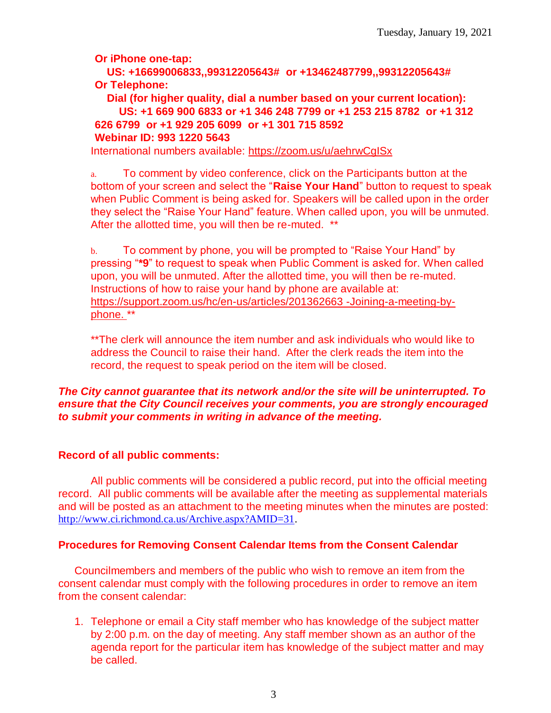**Or iPhone one-tap:**

**US: +16699006833,,99312205643# or +13462487799,,99312205643# Or Telephone:**

**Dial (for higher quality, dial a number based on your current location): US: +1 669 900 6833 or +1 346 248 7799 or +1 253 215 8782 or +1 312 626 6799 or +1 929 205 6099 or +1 301 715 8592 Webinar ID: 993 1220 5643**

International numbers available:<https://zoom.us/u/aehrwCgISx>

a. To comment by video conference, click on the Participants button at the bottom of your screen and select the "**Raise Your Hand**" button to request to speak when Public Comment is being asked for. Speakers will be called upon in the order they select the "Raise Your Hand" feature. When called upon, you will be unmuted. After the allotted time, you will then be re-muted. \*\*

b. To comment by phone, you will be prompted to "Raise Your Hand" by pressing "**\*9**" to request to speak when Public Comment is asked for. When called upon, you will be unmuted. After the allotted time, you will then be re-muted. Instructions of how to raise your hand by phone are available at: [https://support.zoom.us/hc/en-us/articles/201362663 -Joining-a-meeting-by](https://support.zoom.us/hc/en-us/articles/201362663)[phone.](https://support.zoom.us/hc/en-us/articles/201362663) \*\*

\*\*The clerk will announce the item number and ask individuals who would like to address the Council to raise their hand. After the clerk reads the item into the record, the request to speak period on the item will be closed.

#### *The City cannot guarantee that its network and/or the site will be uninterrupted. To ensure that the City Council receives your comments, you are strongly encouraged to submit your comments in writing in advance of the meeting.*

### **Record of all public comments:**

All public comments will be considered a public record, put into the official meeting record. All public comments will be available after the meeting as supplemental materials and will be posted as an attachment to the meeting minutes when the minutes are posted: [http://www.ci.richmond.ca.us/Archive.aspx?AMID=31.](http://www.ci.richmond.ca.us/Archive.aspx?AMID=31)

### **Procedures for Removing Consent Calendar Items from the Consent Calendar**

Councilmembers and members of the public who wish to remove an item from the consent calendar must comply with the following procedures in order to remove an item from the consent calendar:

1. Telephone or email a City staff member who has knowledge of the subject matter by 2:00 p.m. on the day of meeting. Any staff member shown as an author of the agenda report for the particular item has knowledge of the subject matter and may be called.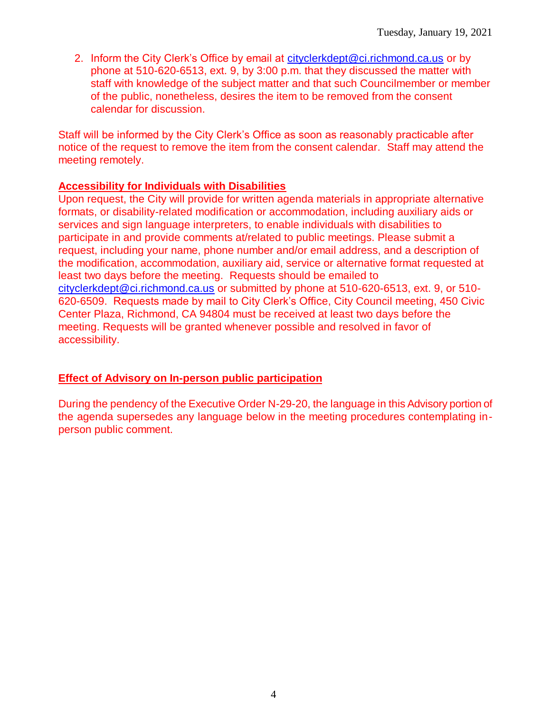2. Inform the City Clerk's Office by email at [cityclerkdept@ci.richmond.ca.us](mailto:cityclerkdept@ci.richmond.ca.us) or by phone at 510-620-6513, ext. 9, by 3:00 p.m. that they discussed the matter with staff with knowledge of the subject matter and that such Councilmember or member of the public, nonetheless, desires the item to be removed from the consent calendar for discussion.

Staff will be informed by the City Clerk's Office as soon as reasonably practicable after notice of the request to remove the item from the consent calendar. Staff may attend the meeting remotely.

#### **Accessibility for Individuals with Disabilities**

Upon request, the City will provide for written agenda materials in appropriate alternative formats, or disability-related modification or accommodation, including auxiliary aids or services and sign language interpreters, to enable individuals with disabilities to participate in and provide comments at/related to public meetings. Please submit a request, including your name, phone number and/or email address, and a description of the modification, accommodation, auxiliary aid, service or alternative format requested at least two days before the meeting. Requests should be emailed to [cityclerkdept@ci.richmond.ca.us](mailto:cityclerkdept@ci.richmond.ca.us) or submitted by phone at 510-620-6513, ext. 9, or 510- 620-6509. Requests made by mail to City Clerk's Office, City Council meeting, 450 Civic Center Plaza, Richmond, CA 94804 must be received at least two days before the meeting. Requests will be granted whenever possible and resolved in favor of accessibility.

#### **Effect of Advisory on In-person public participation**

During the pendency of the Executive Order N-29-20, the language in this Advisory portion of the agenda supersedes any language below in the meeting procedures contemplating inperson public comment.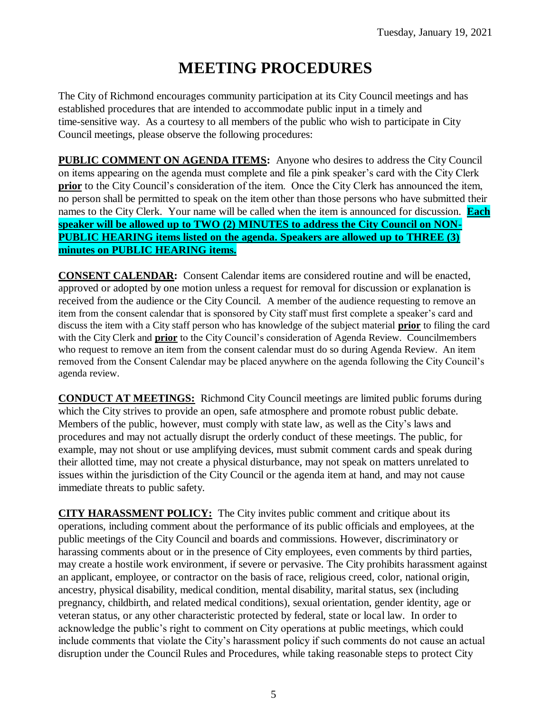# **MEETING PROCEDURES**

The City of Richmond encourages community participation at its City Council meetings and has established procedures that are intended to accommodate public input in a timely and time-sensitive way. As a courtesy to all members of the public who wish to participate in City Council meetings, please observe the following procedures:

**PUBLIC COMMENT ON AGENDA ITEMS:** Anyone who desires to address the City Council on items appearing on the agenda must complete and file a pink speaker's card with the City Clerk **prior** to the City Council's consideration of the item. Once the City Clerk has announced the item, no person shall be permitted to speak on the item other than those persons who have submitted their names to the City Clerk. Your name will be called when the item is announced for discussion. **Each speaker will be allowed up to TWO (2) MINUTES to address the City Council on NON-PUBLIC HEARING items listed on the agenda. Speakers are allowed up to THREE (3) minutes on PUBLIC HEARING items.**

**CONSENT CALENDAR:** Consent Calendar items are considered routine and will be enacted, approved or adopted by one motion unless a request for removal for discussion or explanation is received from the audience or the City Council. A member of the audience requesting to remove an item from the consent calendar that is sponsored by City staff must first complete a speaker's card and discuss the item with a City staff person who has knowledge of the subject material **prior** to filing the card with the City Clerk and **prior** to the City Council's consideration of Agenda Review. Councilmembers who request to remove an item from the consent calendar must do so during Agenda Review. An item removed from the Consent Calendar may be placed anywhere on the agenda following the City Council's agenda review.

**CONDUCT AT MEETINGS:** Richmond City Council meetings are limited public forums during which the City strives to provide an open, safe atmosphere and promote robust public debate. Members of the public, however, must comply with state law, as well as the City's laws and procedures and may not actually disrupt the orderly conduct of these meetings. The public, for example, may not shout or use amplifying devices, must submit comment cards and speak during their allotted time, may not create a physical disturbance, may not speak on matters unrelated to issues within the jurisdiction of the City Council or the agenda item at hand, and may not cause immediate threats to public safety.

**CITY HARASSMENT POLICY:** The City invites public comment and critique about its operations, including comment about the performance of its public officials and employees, at the public meetings of the City Council and boards and commissions. However, discriminatory or harassing comments about or in the presence of City employees, even comments by third parties, may create a hostile work environment, if severe or pervasive. The City prohibits harassment against an applicant, employee, or contractor on the basis of race, religious creed, color, national origin, ancestry, physical disability, medical condition, mental disability, marital status, sex (including pregnancy, childbirth, and related medical conditions), sexual orientation, gender identity, age or veteran status, or any other characteristic protected by federal, state or local law. In order to acknowledge the public's right to comment on City operations at public meetings, which could include comments that violate the City's harassment policy if such comments do not cause an actual disruption under the Council Rules and Procedures, while taking reasonable steps to protect City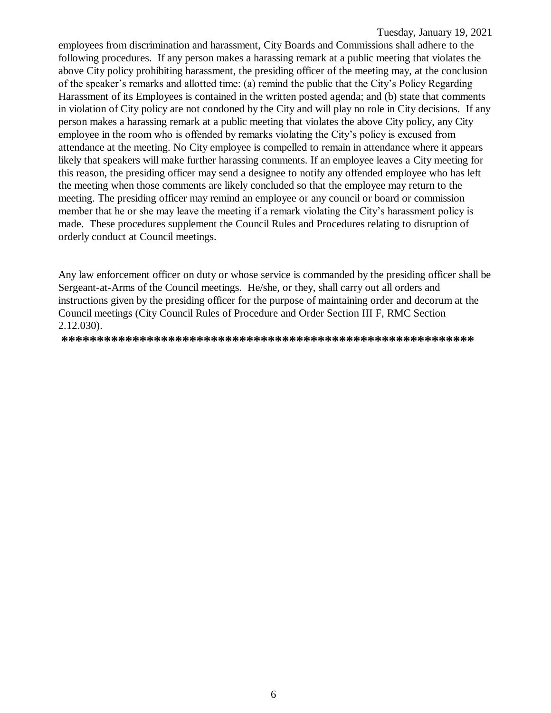employees from discrimination and harassment, City Boards and Commissions shall adhere to the following procedures. If any person makes a harassing remark at a public meeting that violates the above City policy prohibiting harassment, the presiding officer of the meeting may, at the conclusion of the speaker's remarks and allotted time: (a) remind the public that the City's Policy Regarding Harassment of its Employees is contained in the written posted agenda; and (b) state that comments in violation of City policy are not condoned by the City and will play no role in City decisions. If any person makes a harassing remark at a public meeting that violates the above City policy, any City employee in the room who is offended by remarks violating the City's policy is excused from attendance at the meeting. No City employee is compelled to remain in attendance where it appears likely that speakers will make further harassing comments. If an employee leaves a City meeting for this reason, the presiding officer may send a designee to notify any offended employee who has left the meeting when those comments are likely concluded so that the employee may return to the meeting. The presiding officer may remind an employee or any council or board or commission member that he or she may leave the meeting if a remark violating the City's harassment policy is made. These procedures supplement the Council Rules and Procedures relating to disruption of orderly conduct at Council meetings.

Any law enforcement officer on duty or whose service is commanded by the presiding officer shall be Sergeant-at-Arms of the Council meetings. He/she, or they, shall carry out all orders and instructions given by the presiding officer for the purpose of maintaining order and decorum at the Council meetings (City Council Rules of Procedure and Order Section III F, RMC Section 2.12.030).

**\*\*\*\*\*\*\*\*\*\*\*\*\*\*\*\*\*\*\*\*\*\*\*\*\*\*\*\*\*\*\*\*\*\*\*\*\*\*\*\*\*\*\*\*\*\*\*\*\*\*\*\*\*\*\*\*\*\***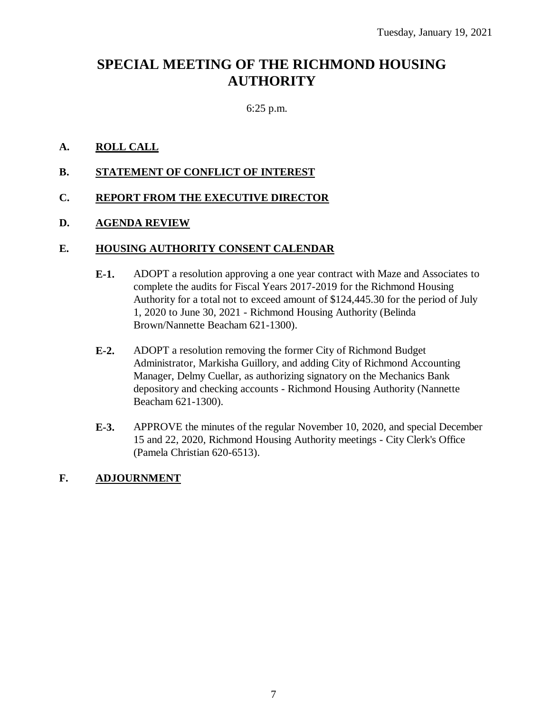# **SPECIAL MEETING OF THE RICHMOND HOUSING AUTHORITY**

#### 6:25 p.m.

#### **A. ROLL CALL**

#### **B. STATEMENT OF CONFLICT OF INTEREST**

#### **C. REPORT FROM THE EXECUTIVE DIRECTOR**

#### **D. AGENDA REVIEW**

#### **E. HOUSING AUTHORITY CONSENT CALENDAR**

- **E-1.** ADOPT a resolution approving a one year contract with Maze and Associates to complete the audits for Fiscal Years 2017-2019 for the Richmond Housing Authority for a total not to exceed amount of \$124,445.30 for the period of July 1, 2020 to June 30, 2021 - Richmond Housing Authority (Belinda Brown/Nannette Beacham 621-1300).
- **E-2.** ADOPT a resolution removing the former City of Richmond Budget Administrator, Markisha Guillory, and adding City of Richmond Accounting Manager, Delmy Cuellar, as authorizing signatory on the Mechanics Bank depository and checking accounts - Richmond Housing Authority (Nannette Beacham 621-1300).
- **E-3.** APPROVE the minutes of the regular November 10, 2020, and special December 15 and 22, 2020, Richmond Housing Authority meetings - City Clerk's Office (Pamela Christian 620-6513).

#### **F. ADJOURNMENT**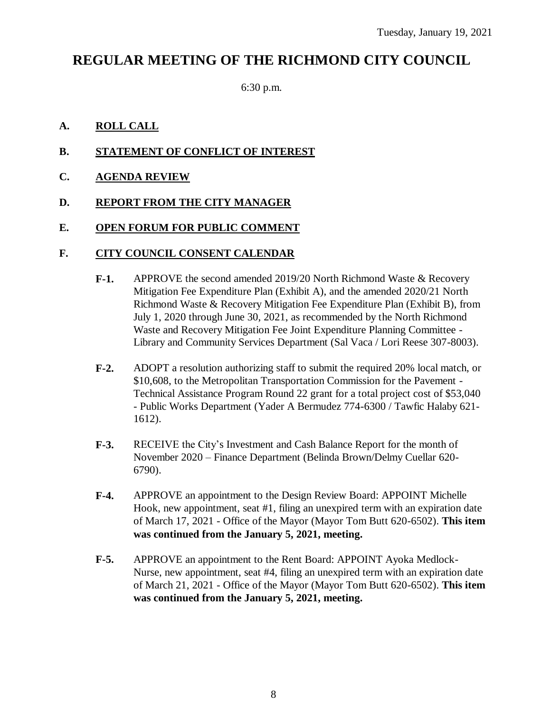# **REGULAR MEETING OF THE RICHMOND CITY COUNCIL**

6:30 p.m.

#### **A. ROLL CALL**

- **B. STATEMENT OF CONFLICT OF INTEREST**
- **C. AGENDA REVIEW**

#### **D. REPORT FROM THE CITY MANAGER**

#### **E. OPEN FORUM FOR PUBLIC COMMENT**

#### **F. CITY COUNCIL CONSENT CALENDAR**

- **F-1.** APPROVE the second amended 2019/20 North Richmond Waste & Recovery Mitigation Fee Expenditure Plan (Exhibit A), and the amended 2020/21 North Richmond Waste & Recovery Mitigation Fee Expenditure Plan (Exhibit B), from July 1, 2020 through June 30, 2021, as recommended by the North Richmond Waste and Recovery Mitigation Fee Joint Expenditure Planning Committee - Library and Community Services Department (Sal Vaca / Lori Reese 307-8003).
- **F-2.** ADOPT a resolution authorizing staff to submit the required 20% local match, or \$10,608, to the Metropolitan Transportation Commission for the Pavement - Technical Assistance Program Round 22 grant for a total project cost of \$53,040 - Public Works Department (Yader A Bermudez 774-6300 / Tawfic Halaby 621- 1612).
- **F-3.** RECEIVE the City's Investment and Cash Balance Report for the month of November 2020 – Finance Department (Belinda Brown/Delmy Cuellar 620- 6790).
- **F-4.** APPROVE an appointment to the Design Review Board: APPOINT Michelle Hook, new appointment, seat #1, filing an unexpired term with an expiration date of March 17, 2021 - Office of the Mayor (Mayor Tom Butt 620-6502). **This item was continued from the January 5, 2021, meeting.**
- **F-5.** APPROVE an appointment to the Rent Board: APPOINT Ayoka Medlock-Nurse, new appointment, seat #4, filing an unexpired term with an expiration date of March 21, 2021 - Office of the Mayor (Mayor Tom Butt 620-6502). **This item was continued from the January 5, 2021, meeting.**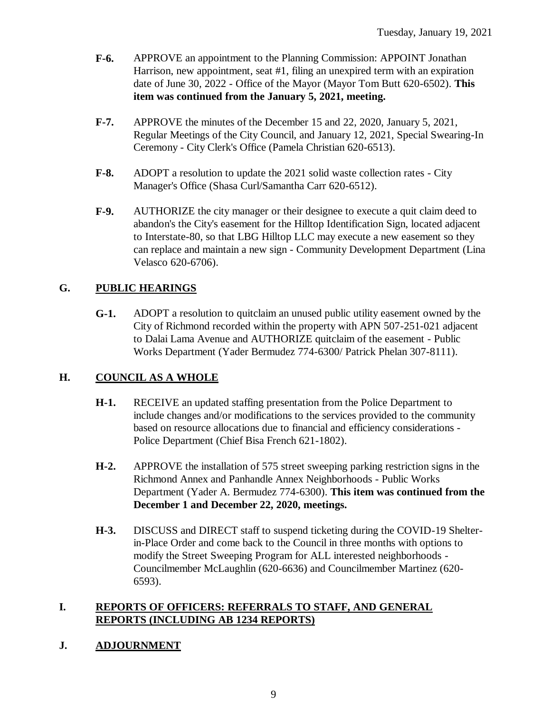- **F-6.** APPROVE an appointment to the Planning Commission: APPOINT Jonathan Harrison, new appointment, seat #1, filing an unexpired term with an expiration date of June 30, 2022 - Office of the Mayor (Mayor Tom Butt 620-6502). **This item was continued from the January 5, 2021, meeting.**
- **F-7.** APPROVE the minutes of the December 15 and 22, 2020, January 5, 2021, Regular Meetings of the City Council, and January 12, 2021, Special Swearing-In Ceremony - City Clerk's Office (Pamela Christian 620-6513).
- **F-8.** ADOPT a resolution to update the 2021 solid waste collection rates City Manager's Office (Shasa Curl/Samantha Carr 620-6512).
- **F-9.** AUTHORIZE the city manager or their designee to execute a quit claim deed to abandon's the City's easement for the Hilltop Identification Sign, located adjacent to Interstate-80, so that LBG Hilltop LLC may execute a new easement so they can replace and maintain a new sign - Community Development Department (Lina Velasco 620-6706).

#### **G. PUBLIC HEARINGS**

**G-1.** ADOPT a resolution to quitclaim an unused public utility easement owned by the City of Richmond recorded within the property with APN 507-251-021 adjacent to Dalai Lama Avenue and AUTHORIZE quitclaim of the easement - Public Works Department (Yader Bermudez 774-6300/ Patrick Phelan 307-8111).

#### **H. COUNCIL AS A WHOLE**

- **H-1.** RECEIVE an updated staffing presentation from the Police Department to include changes and/or modifications to the services provided to the community based on resource allocations due to financial and efficiency considerations - Police Department (Chief Bisa French 621-1802).
- **H-2.** APPROVE the installation of 575 street sweeping parking restriction signs in the Richmond Annex and Panhandle Annex Neighborhoods - Public Works Department (Yader A. Bermudez 774-6300). **This item was continued from the December 1 and December 22, 2020, meetings.**
- **H-3.** DISCUSS and DIRECT staff to suspend ticketing during the COVID-19 Shelterin-Place Order and come back to the Council in three months with options to modify the Street Sweeping Program for ALL interested neighborhoods - Councilmember McLaughlin (620-6636) and Councilmember Martinez (620- 6593).

#### **I. REPORTS OF OFFICERS: REFERRALS TO STAFF, AND GENERAL REPORTS (INCLUDING AB 1234 REPORTS)**

#### **J. ADJOURNMENT**